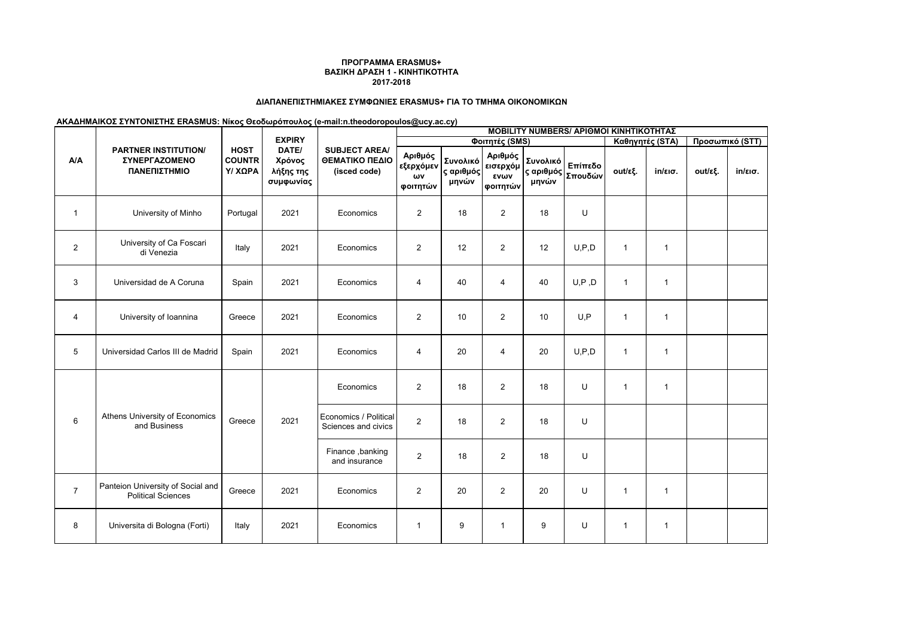# **ΔΙΑΠΑΝΕΠΙΣΤΗΜΙΑΚΕΣ ΣΥΜΦΩΝΙΕΣ ERASMUS+ ΓΙΑ ΤΟ ΤΜΗΜΑ ΟΙΚΟΝΟΜΙΚΩΝ**

|                | <b>PARTNER INSTITUTION/</b><br>ΣΥΝΕΡΓΑΖΟΜΕΝΟ<br>ΠΑΝΕΠΙΣΤΗΜΙΟ   |                                         | <b>EXPIRY</b><br>DATE/<br>Χρόνος<br>λήξης της<br>συμφωνίας | <b>SUBJECT AREA/</b><br>ΘΕΜΑΤΙΚΟ ΠΕΔΙΟ<br>(isced code) | <b>MOBILITY NUMBERS/ ΑΡΙΘΜΟΙ ΚΙΝΗΤΙΚΟΤΗΤΑΣ</b> |                                |                                         |                                |                    |                 |                   |                 |                   |  |
|----------------|----------------------------------------------------------------|-----------------------------------------|------------------------------------------------------------|--------------------------------------------------------|------------------------------------------------|--------------------------------|-----------------------------------------|--------------------------------|--------------------|-----------------|-------------------|-----------------|-------------------|--|
|                |                                                                |                                         |                                                            |                                                        | Φοιτητές (SMS)                                 |                                |                                         |                                |                    | Καθηγητές (STA) |                   | Προσωπικό (STT) |                   |  |
| A/A            |                                                                | <b>HOST</b><br><b>COUNTR</b><br>Υ/ ΧΩΡΑ |                                                            |                                                        | Αριθμός<br>εξερχόμεν<br>ωv<br>φοιτητών         | Συνολικό<br>ς αριθμός<br>μηνών | Αριθμός<br>εισερχόμ<br>ενων<br>φοιτητών | Συνολικό<br>ς αριθμός<br>μηνών | Επίπεδο<br>Σπουδών | out/εξ.         | $in/\epsilon$ ισ. | out/εξ.         | $in/\epsilon$ ισ. |  |
| $\mathbf{1}$   | University of Minho                                            | Portugal                                | 2021                                                       | Economics                                              | 2                                              | 18                             | $\overline{2}$                          | 18                             | U                  |                 |                   |                 |                   |  |
| $\overline{2}$ | University of Ca Foscari<br>di Venezia                         | Italy                                   | 2021                                                       | Economics                                              | $\overline{2}$                                 | 12                             | $\overline{2}$                          | 12                             | U, P, D            | $\mathbf{1}$    | $\mathbf{1}$      |                 |                   |  |
| 3              | Universidad de A Coruna                                        | Spain                                   | 2021                                                       | Economics                                              | 4                                              | 40                             | $\overline{4}$                          | 40                             | U, P, D            | $\mathbf{1}$    | $\mathbf{1}$      |                 |                   |  |
| $\overline{4}$ | University of Ioannina                                         | Greece                                  | 2021                                                       | Economics                                              | 2                                              | 10                             | $\overline{2}$                          | 10                             | U, P               | $\overline{1}$  | $\mathbf{1}$      |                 |                   |  |
| 5              | Universidad Carlos III de Madrid                               | Spain                                   | 2021                                                       | Economics                                              | $\overline{4}$                                 | 20                             | 4                                       | 20                             | U, P, D            | -1              | $\mathbf{1}$      |                 |                   |  |
|                | Athens University of Economics<br>and Business                 | Greece                                  | 2021                                                       | Economics                                              | 2                                              | 18                             | $\overline{2}$                          | 18                             | U                  | $\mathbf{1}$    | $\mathbf{1}$      |                 |                   |  |
| 6              |                                                                |                                         |                                                            | Economics / Political<br>Sciences and civics           | 2                                              | 18                             | $\overline{2}$                          | 18                             | U                  |                 |                   |                 |                   |  |
|                |                                                                |                                         |                                                            | Finance, banking<br>and insurance                      | $\overline{2}$                                 | 18                             | $\overline{2}$                          | 18                             | U                  |                 |                   |                 |                   |  |
| $\overline{7}$ | Panteion University of Social and<br><b>Political Sciences</b> | Greece                                  | 2021                                                       | Economics                                              | 2                                              | 20                             | $\overline{2}$                          | 20                             | U                  | $\mathbf{1}$    | $\mathbf{1}$      |                 |                   |  |
| 8              | Universita di Bologna (Forti)                                  | Italy                                   | 2021                                                       | Economics                                              | $\mathbf{1}$                                   | 9                              | $\mathbf{1}$                            | 9                              | U                  | $\mathbf{1}$    | $\mathbf{1}$      |                 |                   |  |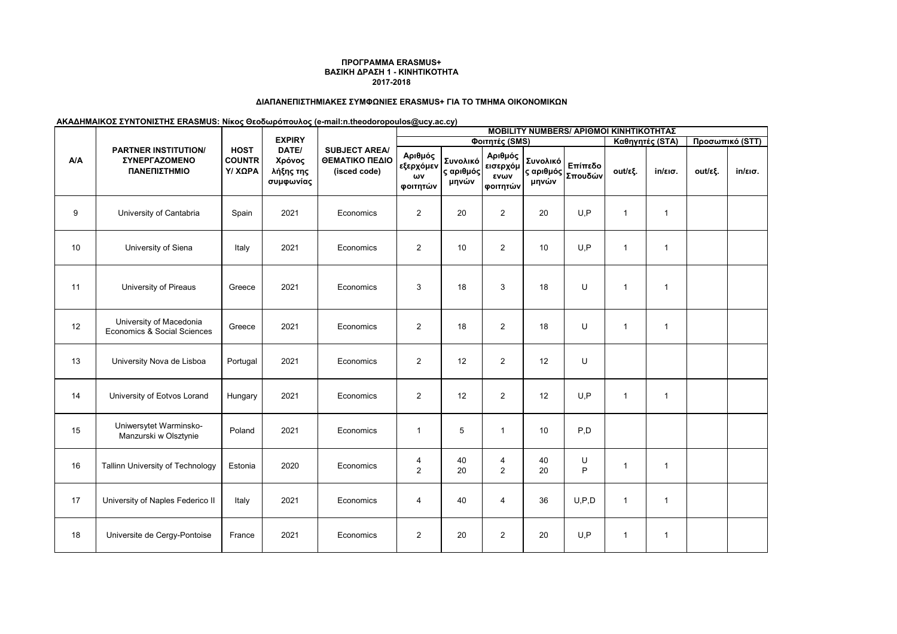# **ΔΙΑΠΑΝΕΠΙΣΤΗΜΙΑΚΕΣ ΣΥΜΦΩΝΙΕΣ ERASMUS+ ΓΙΑ ΤΟ ΤΜΗΜΑ ΟΙΚΟΝΟΜΙΚΩΝ**

|     | <b>PARTNER INSTITUTION/</b><br>ΣΥΝΕΡΓΑΖΟΜΕΝΟ<br>ΠΑΝΕΠΙΣΤΗΜΙΟ | <b>HOST</b><br><b>COUNTR</b><br>Υ/ ΧΩΡΑ | <b>EXPIRY</b><br>DATE/<br>Χρόνος<br>λήξης της<br>συμφωνίας | <b>SUBJECT AREA/</b><br>ΘΕΜΑΤΙΚΟ ΠΕΔΙΟ<br>(isced code) | <b>MOBILITY NUMBERS/ APIOMOI KINHTIKOTHTAΣ</b> |                                |                                         |                                |                    |              |                 |                 |                   |  |  |
|-----|--------------------------------------------------------------|-----------------------------------------|------------------------------------------------------------|--------------------------------------------------------|------------------------------------------------|--------------------------------|-----------------------------------------|--------------------------------|--------------------|--------------|-----------------|-----------------|-------------------|--|--|
| A/A |                                                              |                                         |                                                            |                                                        | Φοιτητές (SMS)                                 |                                |                                         |                                |                    |              | Καθηγητές (STA) | Προσωπικό (STT) |                   |  |  |
|     |                                                              |                                         |                                                            |                                                        | Αριθμός<br>εξερχόμεν<br>ων<br>φοιτητών         | Συνολικό<br>ς αριθμός<br>μηνών | Αριθμός<br>εισερχόμ<br>ενων<br>φοιτητών | Συνολικό<br>ς αριθμός<br>μηνών | Επίπεδο<br>Σπουδών | out/εξ.      | in/εισ.         | out/εξ.         | $in/\epsilon$ ισ. |  |  |
| 9   | University of Cantabria                                      | Spain                                   | 2021                                                       | Economics                                              | 2                                              | 20                             | $\overline{2}$                          | 20                             | U, P               | $\mathbf{1}$ | $\mathbf{1}$    |                 |                   |  |  |
| 10  | University of Siena                                          | Italy                                   | 2021                                                       | Economics                                              | 2                                              | 10                             | $\overline{2}$                          | 10                             | U, P               | $\mathbf{1}$ | $\mathbf{1}$    |                 |                   |  |  |
| 11  | University of Pireaus                                        | Greece                                  | 2021                                                       | Economics                                              | 3                                              | 18                             | 3                                       | 18                             | U                  | $\mathbf 1$  | $\mathbf{1}$    |                 |                   |  |  |
| 12  | University of Macedonia<br>Economics & Social Sciences       | Greece                                  | 2021                                                       | Economics                                              | $\overline{2}$                                 | 18                             | $\overline{2}$                          | 18                             | U                  | $\mathbf{1}$ | $\mathbf{1}$    |                 |                   |  |  |
| 13  | University Nova de Lisboa                                    | Portugal                                | 2021                                                       | Economics                                              | $\overline{2}$                                 | 12                             | $\overline{2}$                          | 12                             | U                  |              |                 |                 |                   |  |  |
| 14  | University of Eotvos Lorand                                  | Hungary                                 | 2021                                                       | Economics                                              | 2                                              | 12                             | $\overline{2}$                          | 12                             | U, P               | $\mathbf{1}$ | $\mathbf{1}$    |                 |                   |  |  |
| 15  | Uniwersytet Warminsko-<br>Manzurski w Olsztynie              | Poland                                  | 2021                                                       | Economics                                              | $\mathbf{1}$                                   | 5                              | $\overline{1}$                          | 10                             | P.D                |              |                 |                 |                   |  |  |
| 16  | <b>Tallinn University of Technology</b>                      | Estonia                                 | 2020                                                       | Economics                                              | 4<br>$\overline{2}$                            | 40<br>20                       | $\overline{4}$<br>$\overline{2}$        | 40<br>20                       | U<br>P             | 1            | $\mathbf{1}$    |                 |                   |  |  |
| 17  | University of Naples Federico II                             | Italy                                   | 2021                                                       | Economics                                              | 4                                              | 40                             | 4                                       | 36                             | U, P, D            | $\mathbf{1}$ | $\mathbf{1}$    |                 |                   |  |  |
| 18  | Universite de Cergy-Pontoise                                 | France                                  | 2021                                                       | Economics                                              | 2                                              | 20                             | $\overline{2}$                          | 20                             | U, P               | $\mathbf{1}$ | $\mathbf{1}$    |                 |                   |  |  |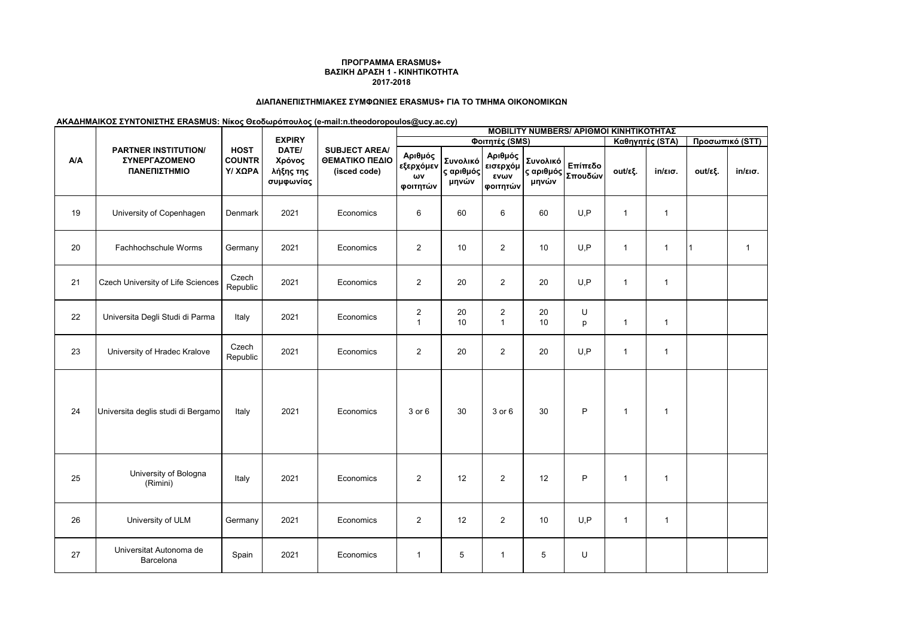# **ΔΙΑΠΑΝΕΠΙΣΤΗΜΙΑΚΕΣ ΣΥΜΦΩΝΙΕΣ ERASMUS+ ΓΙΑ ΤΟ ΤΜΗΜΑ ΟΙΚΟΝΟΜΙΚΩΝ**

|     | <b>PARTNER INSTITUTION/</b><br>ΣΥΝΕΡΓΑΖΟΜΕΝΟ<br>ΠΑΝΕΠΙΣΤΗΜΙΟ | <b>HOST</b><br><b>COUNTR</b><br>Υ/ ΧΩΡΑ | <b>EXPIRY</b><br>DATE/<br>Χρόνος<br>λήξης της<br>συμφωνίας | <b>SUBJECT AREA/</b><br>ΘΕΜΑΤΙΚΟ ΠΕΔΙΟ<br>(isced code) | <b>MOBILITY NUMBERS/ APIOMOI KINHTIKOTHTAΣ</b> |                                |                                         |                                |                    |              |                   |                 |                   |  |
|-----|--------------------------------------------------------------|-----------------------------------------|------------------------------------------------------------|--------------------------------------------------------|------------------------------------------------|--------------------------------|-----------------------------------------|--------------------------------|--------------------|--------------|-------------------|-----------------|-------------------|--|
| A/A |                                                              |                                         |                                                            |                                                        | Φοιτητές (SMS)                                 |                                |                                         |                                |                    |              | Καθηγητές (STA)   | Προσωπικό (STT) |                   |  |
|     |                                                              |                                         |                                                            |                                                        | Αριθμός<br>εξερχόμεν<br>ωv<br>ΦΟΙΤητών         | Συνολικό<br>ς αριθμός<br>μηνών | Αριθμός<br>εισερχόμ<br>ενων<br>φοιτητών | Συνολικό<br>ς αριθμός<br>μηνών | Επίπεδο<br>Σπουδών | out/εξ.      | $in/\epsilon$ ισ. | out/εξ.         | $in/\epsilon$ ισ. |  |
| 19  | University of Copenhagen                                     | Denmark                                 | 2021                                                       | Economics                                              | 6                                              | 60                             | 6                                       | 60                             | U, P               | $\mathbf{1}$ | $\mathbf{1}$      |                 |                   |  |
| 20  | Fachhochschule Worms                                         | Germany                                 | 2021                                                       | Economics                                              | $\overline{2}$                                 | 10                             | $\overline{2}$                          | 10                             | U, P               | $\mathbf{1}$ | $\mathbf{1}$      | 11              | $\overline{1}$    |  |
| 21  | Czech University of Life Sciences                            | Czech<br>Republic                       | 2021                                                       | Economics                                              | 2                                              | 20                             | $\overline{2}$                          | 20                             | U, P               | $\mathbf{1}$ | $\mathbf{1}$      |                 |                   |  |
| 22  | Universita Degli Studi di Parma                              | Italy                                   | 2021                                                       | Economics                                              | $\overline{c}$<br>$\overline{1}$               | 20<br>10                       | $\overline{\mathbf{c}}$<br>$\mathbf{1}$ | 20<br>10                       | U<br>p             | $\mathbf{1}$ | $\mathbf{1}$      |                 |                   |  |
| 23  | University of Hradec Kralove                                 | Czech<br>Republic                       | 2021                                                       | Economics                                              | 2                                              | 20                             | $\overline{2}$                          | 20                             | U, P               | $\mathbf{1}$ | $\mathbf{1}$      |                 |                   |  |
| 24  | Universita deglis studi di Bergamo                           | Italy                                   | 2021                                                       | Economics                                              | 3 or 6                                         | 30                             | 3 or 6                                  | 30                             | $\mathsf{P}$       | $\mathbf{1}$ | $\mathbf{1}$      |                 |                   |  |
| 25  | University of Bologna<br>(Rimini)                            | Italy                                   | 2021                                                       | Economics                                              | 2                                              | 12                             | 2                                       | 12                             | $\mathsf{P}$       | $\mathbf{1}$ | $\mathbf{1}$      |                 |                   |  |
| 26  | University of ULM                                            | Germany                                 | 2021                                                       | Economics                                              | 2                                              | 12                             | $\overline{2}$                          | 10                             | U, P               | $\mathbf{1}$ | $\mathbf{1}$      |                 |                   |  |
| 27  | Universitat Autonoma de<br>Barcelona                         | Spain                                   | 2021                                                       | Economics                                              | $\overline{1}$                                 | 5                              | $\mathbf{1}$                            | 5                              | U                  |              |                   |                 |                   |  |